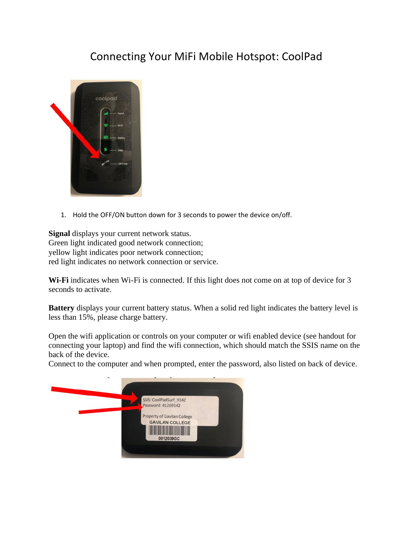## Connecting Your MiFi Mobile Hotspot: CoolPad



1. Hold the OFF/ON button down for 3 seconds to power the device on/off.

**Signal** displays your current network status. Green light indicated good network connection; yellow light indicates poor network connection; red light indicates no network connection or service.

**Wi-Fi** indicates when Wi-Fi is connected. If this light does not come on at top of device for 3 seconds to activate.

**Battery** displays your current battery status. When a solid red light indicates the battery level is less than 15%, please charge battery.

Open the wifi application or controls on your computer or wifi enabled device (see handout for connecting your laptop) and find the wifi connection, which should match the SSIS name on the back of the device.

Connect to the computer and when prompted, enter the password, also listed on back of device.